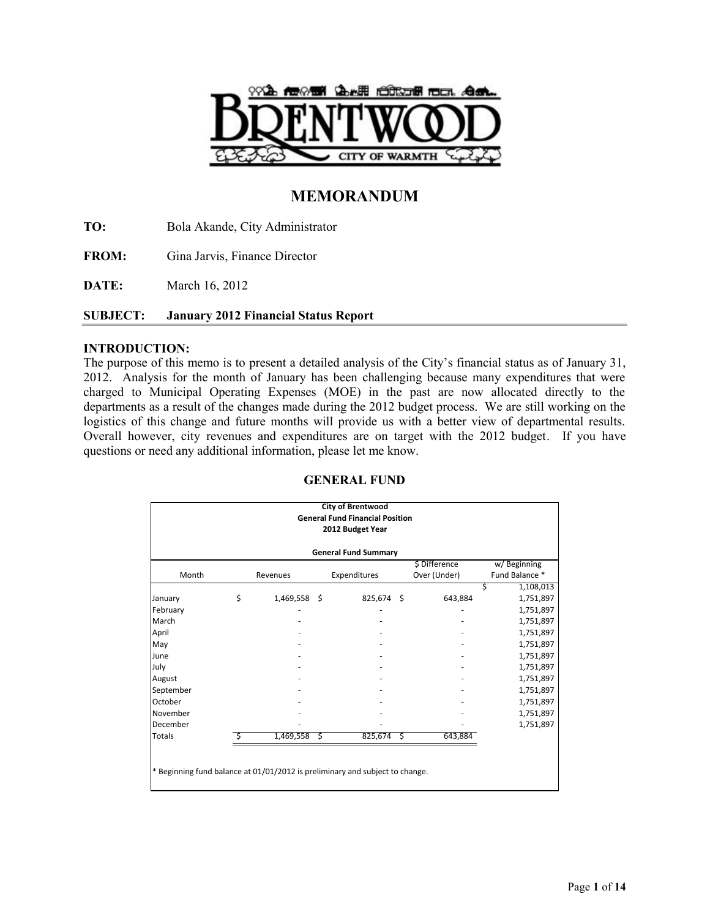

# **MEMORANDUM**

**TO:** Bola Akande, City Administrator

**FROM:** Gina Jarvis, Finance Director

**DATE:** March 16, 2012

# **SUBJECT: January 2012 Financial Status Report**

# **INTRODUCTION:**

The purpose of this memo is to present a detailed analysis of the City's financial status as of January 31, 2012. Analysis for the month of January has been challenging because many expenditures that were charged to Municipal Operating Expenses (MOE) in the past are now allocated directly to the departments as a result of the changes made during the 2012 budget process. We are still working on the logistics of this change and future months will provide us with a better view of departmental results. Overall however, city revenues and expenditures are on target with the 2012 budget. If you have questions or need any additional information, please let me know.

| <b>City of Brentwood</b><br><b>General Fund Financial Position</b> |  |                  |    |               |                                                                              |  |  |  |  |  |  |  |
|--------------------------------------------------------------------|--|------------------|----|---------------|------------------------------------------------------------------------------|--|--|--|--|--|--|--|
|                                                                    |  |                  |    |               |                                                                              |  |  |  |  |  |  |  |
|                                                                    |  | 2012 Budget Year |    |               |                                                                              |  |  |  |  |  |  |  |
| <b>General Fund Summary</b>                                        |  |                  |    |               |                                                                              |  |  |  |  |  |  |  |
|                                                                    |  |                  |    | \$ Difference | w/Beginning                                                                  |  |  |  |  |  |  |  |
| Revenues                                                           |  | Expenditures     |    | Over (Under)  | Fund Balance *                                                               |  |  |  |  |  |  |  |
|                                                                    |  |                  |    |               | Ś<br>1,108,013                                                               |  |  |  |  |  |  |  |
| 1,469,558 \$                                                       |  | 825,674          | -Ś | 643,884       | 1,751,897                                                                    |  |  |  |  |  |  |  |
|                                                                    |  |                  |    |               | 1,751,897                                                                    |  |  |  |  |  |  |  |
|                                                                    |  |                  |    |               | 1,751,897                                                                    |  |  |  |  |  |  |  |
|                                                                    |  |                  |    |               | 1,751,897                                                                    |  |  |  |  |  |  |  |
|                                                                    |  |                  |    |               | 1,751,897                                                                    |  |  |  |  |  |  |  |
|                                                                    |  |                  |    |               | 1,751,897                                                                    |  |  |  |  |  |  |  |
|                                                                    |  |                  |    |               | 1,751,897                                                                    |  |  |  |  |  |  |  |
|                                                                    |  |                  |    |               | 1,751,897                                                                    |  |  |  |  |  |  |  |
|                                                                    |  |                  |    |               | 1,751,897                                                                    |  |  |  |  |  |  |  |
|                                                                    |  |                  |    |               | 1,751,897                                                                    |  |  |  |  |  |  |  |
|                                                                    |  |                  |    |               | 1,751,897                                                                    |  |  |  |  |  |  |  |
|                                                                    |  |                  |    |               | 1,751,897                                                                    |  |  |  |  |  |  |  |
|                                                                    |  |                  |    | 643,884       |                                                                              |  |  |  |  |  |  |  |
|                                                                    |  |                  |    |               |                                                                              |  |  |  |  |  |  |  |
|                                                                    |  |                  |    |               |                                                                              |  |  |  |  |  |  |  |
|                                                                    |  |                  |    |               |                                                                              |  |  |  |  |  |  |  |
|                                                                    |  |                  |    |               |                                                                              |  |  |  |  |  |  |  |
|                                                                    |  | $1,469,558$ \$   |    | $825,674$ \$  | * Beginning fund balance at 01/01/2012 is preliminary and subject to change. |  |  |  |  |  |  |  |

# **GENERAL FUND**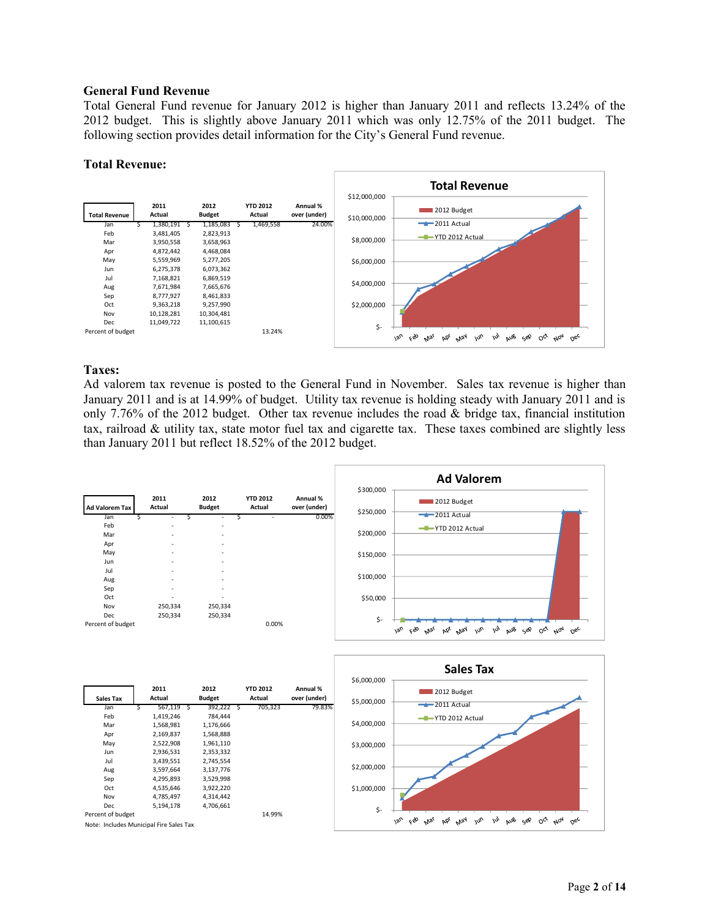## **General Fund Revenue**

Total General Fund revenue for January 2012 is higher than January 2011 and reflects 13.24% of the 2012 budget. This is slightly above January 2011 which was only 12.75% of the 2011 budget. The following section provides detail information for the City's General Fund revenue.

#### **Total Revenue:**



# **Taxes:**

Ad valorem tax revenue is posted to the General Fund in November. Sales tax revenue is higher than January 2011 and is at 14.99% of budget. Utility tax revenue is holding steady with January 2011 and is only 7.76% of the 2012 budget. Other tax revenue includes the road & bridge tax, financial institution tax, railroad & utility tax, state motor fuel tax and cigarette tax. These taxes combined are slightly less than January 2011 but reflect 18.52% of the 2012 budget.

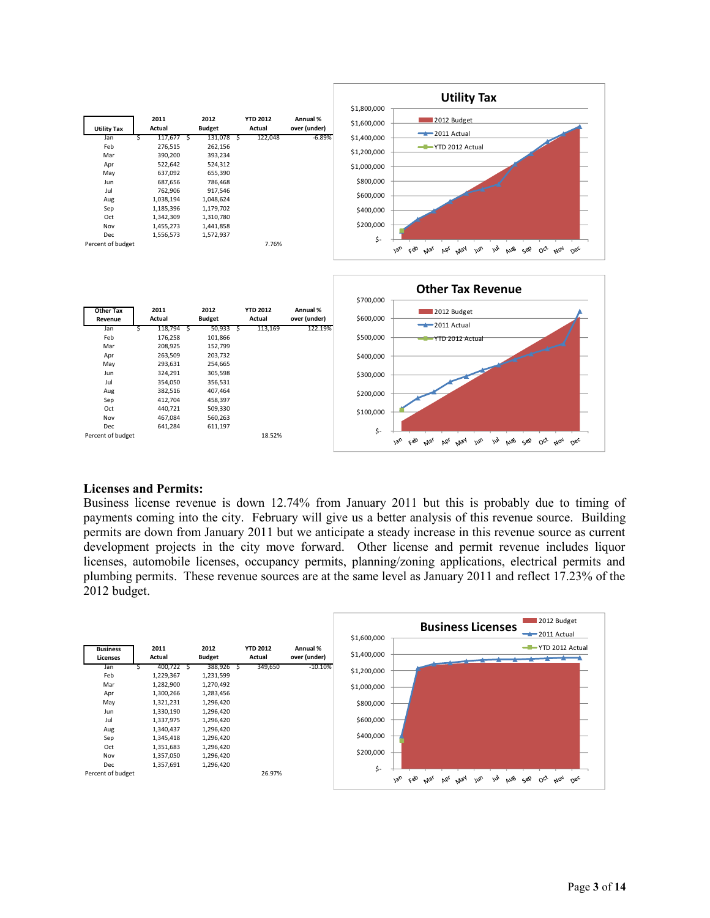

## **Licenses and Permits:**

Business license revenue is down 12.74% from January 2011 but this is probably due to timing of payments coming into the city. February will give us a better analysis of this revenue source. Building permits are down from January 2011 but we anticipate a steady increase in this revenue source as current development projects in the city move forward. Other license and permit revenue includes liquor licenses, automobile licenses, occupancy permits, planning/zoning applications, electrical permits and plumbing permits. These revenue sources are at the same level as January 2011 and reflect 17.23% of the 2012 budget.

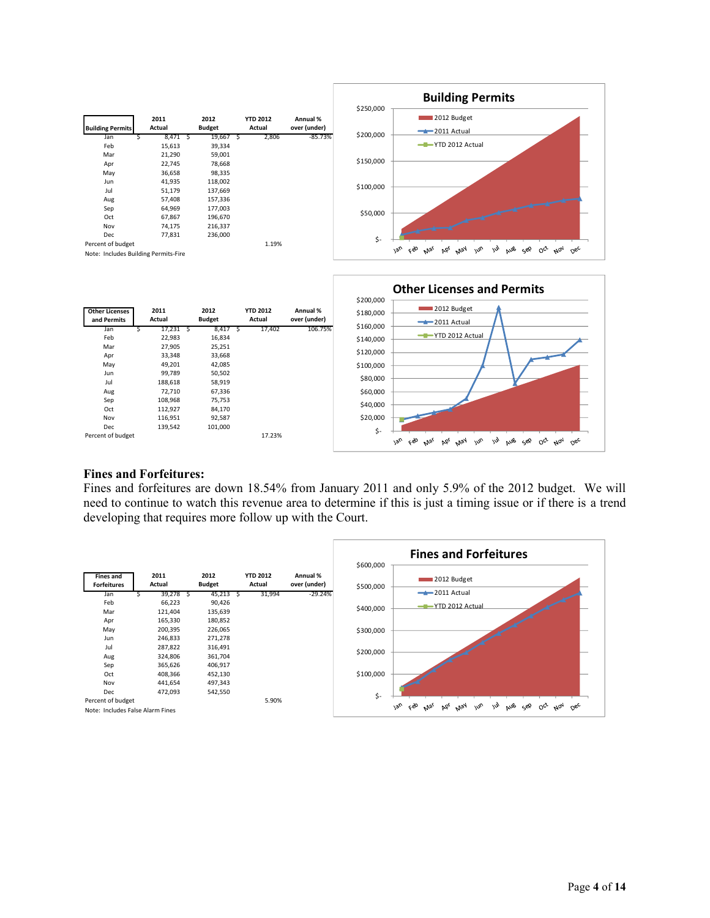

## **Fines and Forfeitures:**

Fines and forfeitures are down 18.54% from January 2011 and only 5.9% of the 2012 budget. We will need to continue to watch this revenue area to determine if this is just a timing issue or if there is a trend developing that requires more follow up with the Court.

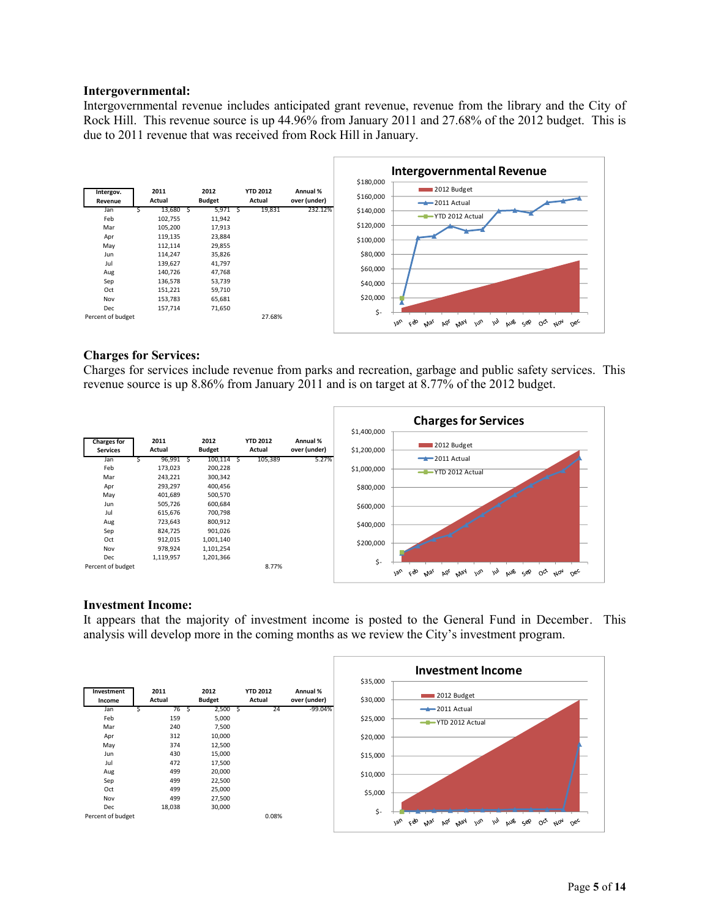#### **Intergovernmental:**

Intergovernmental revenue includes anticipated grant revenue, revenue from the library and the City of Rock Hill. This revenue source is up 44.96% from January 2011 and 27.68% of the 2012 budget. This is due to 2011 revenue that was received from Rock Hill in January.



## **Charges for Services:**

Charges for services include revenue from parks and recreation, garbage and public safety services. This revenue source is up 8.86% from January 2011 and is on target at 8.77% of the 2012 budget.

|                                       |                               |    |                                 |                           |                          |                            | <b>Charges for Services</b>                                                                                                                     |
|---------------------------------------|-------------------------------|----|---------------------------------|---------------------------|--------------------------|----------------------------|-------------------------------------------------------------------------------------------------------------------------------------------------|
| <b>Charges for</b><br><b>Services</b> | 2011<br>Actual                |    | 2012<br><b>Budget</b>           | <b>YTD 2012</b><br>Actual | Annual %<br>over (under) | \$1,400,000<br>\$1,200,000 | 2012 Budget                                                                                                                                     |
| Jan<br>Feb<br>Mar                     | 96,991<br>173,023<br>243,221  | -S | 100,114<br>200,228<br>300,342   | 105,389                   | 5.27%                    | \$1,000,000                | $-2011$ Actual<br>-T-YTD 2012 Actual                                                                                                            |
| Apr<br>May                            | 293,297<br>401,689            |    | 400,456<br>500,570              |                           |                          | \$800,000                  |                                                                                                                                                 |
| Jun<br>Jul                            | 505,726<br>615,676            |    | 600,684<br>700,798              |                           |                          | \$600,000                  |                                                                                                                                                 |
| Aug<br>Sep<br>Oct                     | 723,643<br>824,725<br>912,015 |    | 800,912<br>901,026<br>1,001,140 |                           |                          | \$400,000                  |                                                                                                                                                 |
| Nov<br>Dec                            | 978,924<br>1,119,957          |    | 1,101,254<br>1,201,366          |                           |                          | \$200,000                  |                                                                                                                                                 |
| Percent of budget                     |                               |    |                                 | 8.77%                     |                          | \$-                        | m<br>$0^{\alpha}$<br>ζÒ<br>$v^{\mu}$<br>NOV<br>$v_{\alpha}$<br>May<br>aus<br>bó <sub>l</sub><br>جوب<br>$\alpha_{\rm sc}$<br>$N_{\mathcal{G}_1}$ |

## **Investment Income:**

It appears that the majority of investment income is posted to the General Fund in December. This analysis will develop more in the coming months as we review the City's investment program.

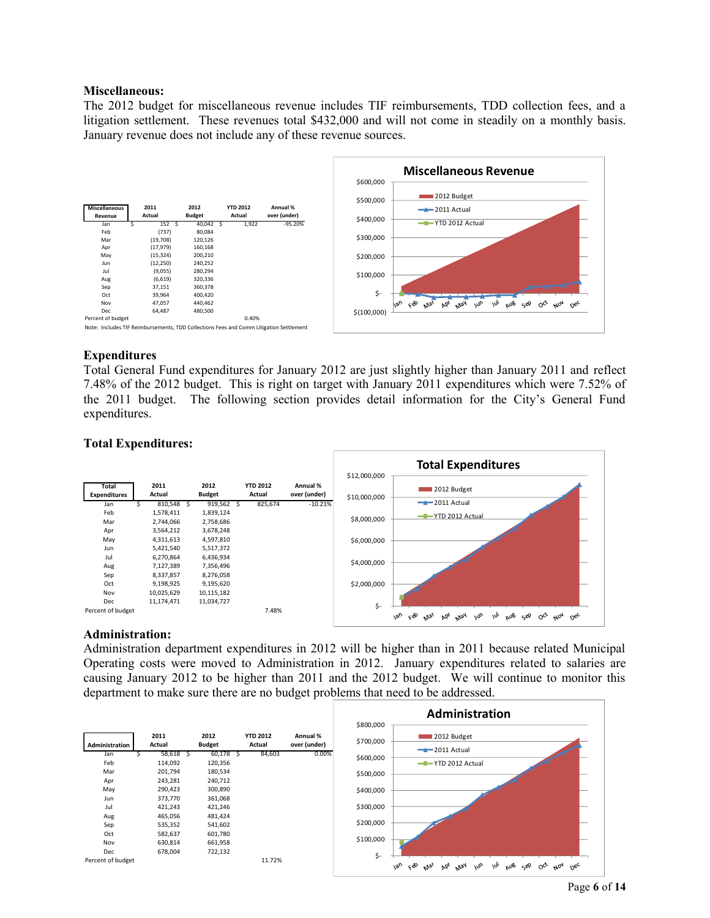## **Miscellaneous:**

The 2012 budget for miscellaneous revenue includes TIF reimbursements, TDD collection fees, and a litigation settlement. These revenues total \$432,000 and will not come in steadily on a monthly basis. January revenue does not include any of these revenue sources.



## **Expenditures**

Total General Fund expenditures for January 2012 are just slightly higher than January 2011 and reflect 7.48% of the 2012 budget. This is right on target with January 2011 expenditures which were 7.52% of the 2011 budget. The following section provides detail information for the City's General Fund expenditures.

## **Total Expenditures:**



#### **Administration:**

Administration department expenditures in 2012 will be higher than in 2011 because related Municipal Operating costs were moved to Administration in 2012. January expenditures related to salaries are causing January 2012 to be higher than 2011 and the 2012 budget. We will continue to monitor this department to make sure there are no budget problems that need to be addressed.

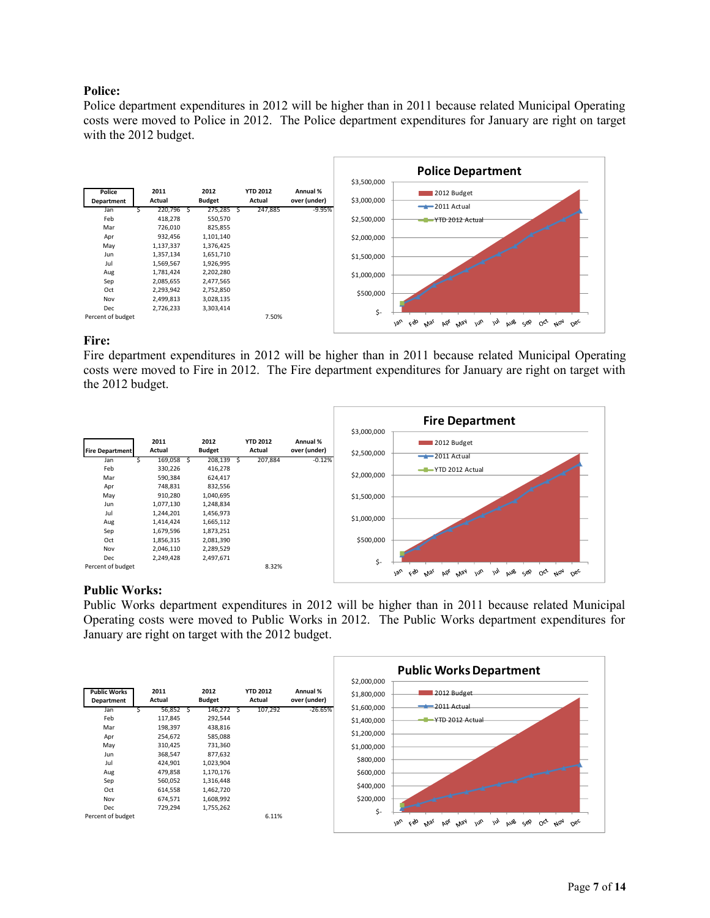# **Police:**

Police department expenditures in 2012 will be higher than in 2011 because related Municipal Operating costs were moved to Police in 2012. The Police department expenditures for January are right on target with the 2012 budget.



# **Fire:**

Fire department expenditures in 2012 will be higher than in 2011 because related Municipal Operating costs were moved to Fire in 2012. The Fire department expenditures for January are right on target with the 2012 budget.

|                        |                |    |                       |                           |                          |          |             | <b>Fire Department</b>                                                                                                              |
|------------------------|----------------|----|-----------------------|---------------------------|--------------------------|----------|-------------|-------------------------------------------------------------------------------------------------------------------------------------|
|                        |                |    |                       |                           |                          |          | \$3,000,000 |                                                                                                                                     |
| <b>Fire Department</b> | 2011<br>Actual |    | 2012<br><b>Budget</b> | <b>YTD 2012</b><br>Actual | Annual %<br>over (under) |          | \$2,500,000 | 2012 Budget                                                                                                                         |
| Jan                    | 169,058        | -S | 208,139               | 207,884                   |                          | $-0.12%$ |             | $-2011$ Actual                                                                                                                      |
| Feb                    | 330,226        |    | 416,278               |                           |                          |          |             | -T-YTD 2012 Actual                                                                                                                  |
| Mar                    | 590,384        |    | 624,417               |                           |                          |          | \$2,000,000 |                                                                                                                                     |
| Apr                    | 748,831        |    | 832,556               |                           |                          |          |             |                                                                                                                                     |
| May                    | 910,280        |    | 1,040,695             |                           |                          |          | \$1,500,000 |                                                                                                                                     |
| Jun                    | 1,077,130      |    | 1,248,834             |                           |                          |          |             |                                                                                                                                     |
| Jul                    | 1,244,201      |    | 1,456,973             |                           |                          |          | \$1,000,000 |                                                                                                                                     |
| Aug                    | 1,414,424      |    | 1,665,112             |                           |                          |          |             |                                                                                                                                     |
| Sep                    | 1,679,596      |    | 1,873,251             |                           |                          |          |             |                                                                                                                                     |
| Oct                    | 1,856,315      |    | 2,081,390             |                           |                          |          | \$500,000   |                                                                                                                                     |
| Nov                    | 2,046,110      |    | 2,289,529             |                           |                          |          |             |                                                                                                                                     |
| Dec                    | 2,249,428      |    | 2,497,671             |                           |                          |          | \$-         |                                                                                                                                     |
| Percent of budget      |                |    |                       | 8.32%                     |                          |          |             | $\omega$<br>$O_{Q'}$ $M_{Q'}$<br>AUB SOP<br>ceo<br>May<br>w <sub>0</sub><br>$O_{6c}$<br>$v_{\vartheta_U}$<br>Þó <sub>r</sub><br>Mar |

## **Public Works:**

Public Works department expenditures in 2012 will be higher than in 2011 because related Municipal Operating costs were moved to Public Works in 2012. The Public Works department expenditures for January are right on target with the 2012 budget.

|                                   |                |   |                       |                           |                          | \$2,000,000 | <b>Public Works Department</b>                                                                                                               |
|-----------------------------------|----------------|---|-----------------------|---------------------------|--------------------------|-------------|----------------------------------------------------------------------------------------------------------------------------------------------|
| <b>Public Works</b><br>Department | 2011<br>Actual |   | 2012<br><b>Budget</b> | <b>YTD 2012</b><br>Actual | Annual %<br>over (under) | \$1,800,000 | 2012 Budget                                                                                                                                  |
| Jan                               | 56,852         | S | 146,272 \$            | 107,292                   | $-26.65%$                | \$1,600,000 | $-$ 2011 Actual                                                                                                                              |
| Feb                               | 117,845        |   | 292,544               |                           |                          | \$1,400,000 | YTD 2012 Actual                                                                                                                              |
| Mar                               | 198,397        |   | 438,816               |                           |                          |             |                                                                                                                                              |
| Apr                               | 254,672        |   | 585,088               |                           |                          | \$1,200,000 |                                                                                                                                              |
| May                               | 310,425        |   | 731,360               |                           |                          | \$1,000,000 |                                                                                                                                              |
| Jun                               | 368,547        |   | 877,632               |                           |                          |             |                                                                                                                                              |
| Jul                               | 424,901        |   | 1,023,904             |                           |                          | \$800,000   |                                                                                                                                              |
| Aug                               | 479,858        |   | 1,170,176             |                           |                          | \$600,000   |                                                                                                                                              |
| Sep                               | 560,052        |   | 1,316,448             |                           |                          | \$400,000   |                                                                                                                                              |
| Oct                               | 614,558        |   | 1,462,720             |                           |                          |             |                                                                                                                                              |
| Nov                               | 674,571        |   | 1,608,992             |                           |                          | \$200,000   |                                                                                                                                              |
| Dec                               | 729,294        |   | 1,755,262             |                           |                          | \$-         |                                                                                                                                              |
| Percent of budget                 |                |   |                       | 6.11%                     |                          |             | cÒ<br>1an<br>$\mu$<br><b>May</b><br>$\omega$<br><b>AUB</b><br>$O^{c^{\chi}}$<br>$N_{\text{O}}$<br>$0e^{\zeta}$<br>bb,<br>جون<br>$M_{\rm 9/}$ |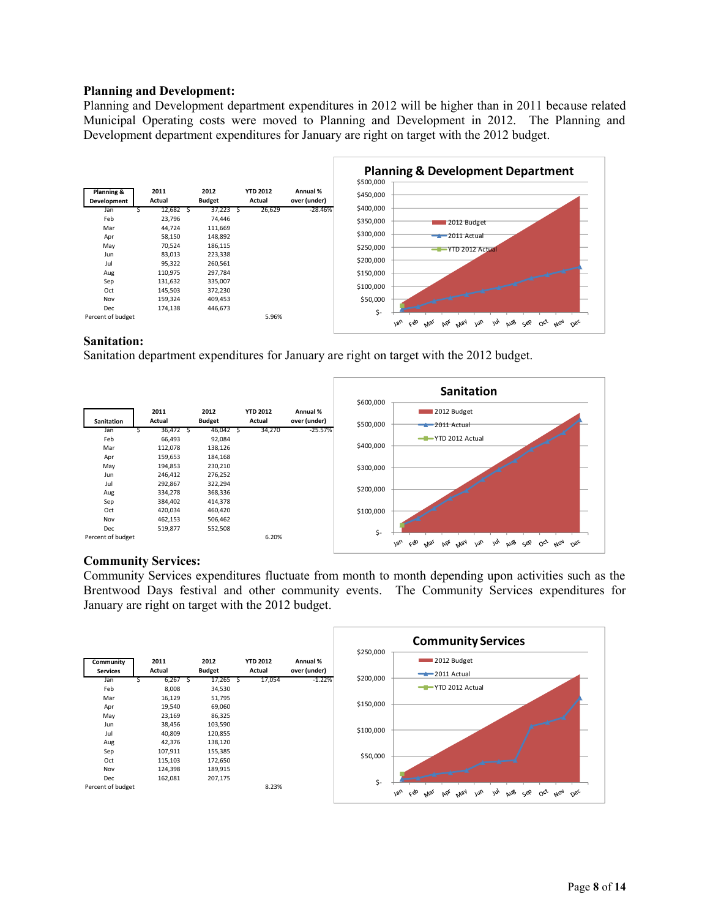# **Planning and Development:**

Planning and Development department expenditures in 2012 will be higher than in 2011 because related Municipal Operating costs were moved to Planning and Development in 2012. The Planning and Development department expenditures for January are right on target with the 2012 budget.



# **Sanitation:**

Sanitation department expenditures for January are right on target with the 2012 budget.



# **Community Services:**

Community Services expenditures fluctuate from month to month depending upon activities such as the Brentwood Days festival and other community events. The Community Services expenditures for January are right on target with the 2012 budget.

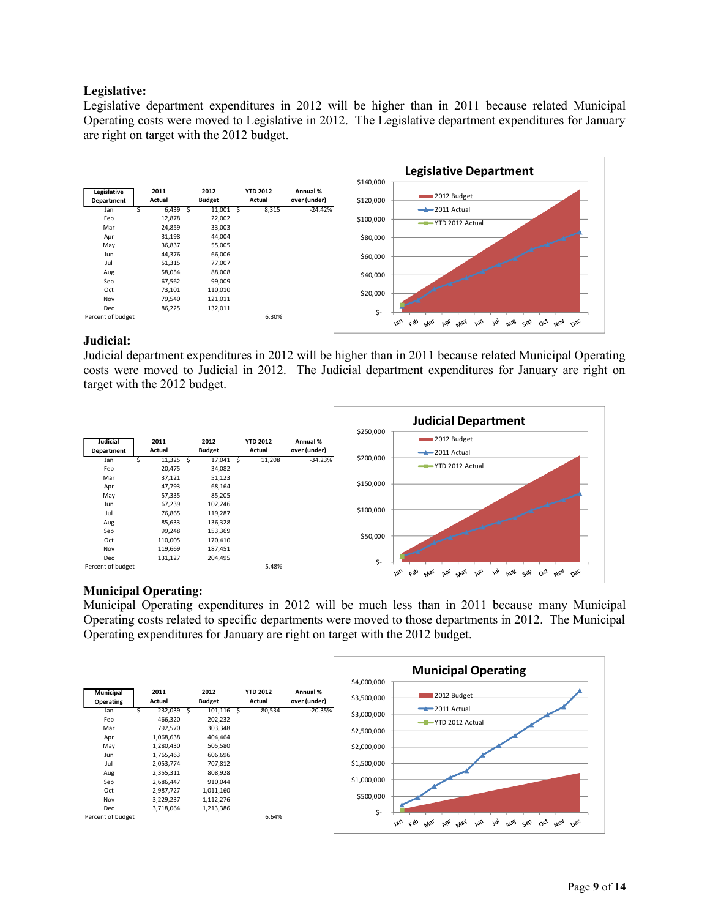# **Legislative:**

Legislative department expenditures in 2012 will be higher than in 2011 because related Municipal Operating costs were moved to Legislative in 2012. The Legislative department expenditures for January are right on target with the 2012 budget.



## **Judicial:**

Judicial department expenditures in 2012 will be higher than in 2011 because related Municipal Operating costs were moved to Judicial in 2012. The Judicial department expenditures for January are right on target with the 2012 budget.

|                   |         |   |               |                 |              |           | <b>Judicial Department</b>                                                                                                             |
|-------------------|---------|---|---------------|-----------------|--------------|-----------|----------------------------------------------------------------------------------------------------------------------------------------|
| Judicial          | 2011    |   | 2012          | <b>YTD 2012</b> | Annual %     | \$250,000 | 2012 Budget                                                                                                                            |
| Department        | Actual  |   | <b>Budget</b> | Actual          | over (under) |           | $-2011$ Actual                                                                                                                         |
| Jan               | 11,325  | 5 | 17,041        | 11,208          | $-34.23%$    | \$200,000 |                                                                                                                                        |
| Feb               | 20,475  |   | 34,082        |                 |              |           | -T-YTD 2012 Actual                                                                                                                     |
| Mar               | 37,121  |   | 51,123        |                 |              |           |                                                                                                                                        |
| Apr               | 47,793  |   | 68,164        |                 |              | \$150,000 |                                                                                                                                        |
| May               | 57,335  |   | 85,205        |                 |              |           |                                                                                                                                        |
| Jun               | 67,239  |   | 102,246       |                 |              |           |                                                                                                                                        |
| Jul               | 76,865  |   | 119,287       |                 |              | \$100,000 |                                                                                                                                        |
| Aug               | 85,633  |   | 136,328       |                 |              |           |                                                                                                                                        |
| Sep               | 99,248  |   | 153,369       |                 |              |           |                                                                                                                                        |
| Oct               | 110,005 |   | 170,410       |                 |              | \$50,000  |                                                                                                                                        |
| Nov               | 119,669 |   | 187,451       |                 |              |           |                                                                                                                                        |
| Dec               | 131,127 |   | 204,495       |                 |              | \$-       |                                                                                                                                        |
| Percent of budget |         |   |               | 5.48%           |              |           | c80<br>AUB SEP<br>$O_{C_{f}}$<br>$A_{07}$<br>$O_{6c}$<br>$v_{\alpha_U}$<br>m <sub>o</sub><br>bb <sub>l</sub><br><b>May</b><br>m<br>Mai |

# **Municipal Operating:**

Municipal Operating expenditures in 2012 will be much less than in 2011 because many Municipal Operating costs related to specific departments were moved to those departments in 2012. The Municipal Operating expenditures for January are right on target with the 2012 budget.

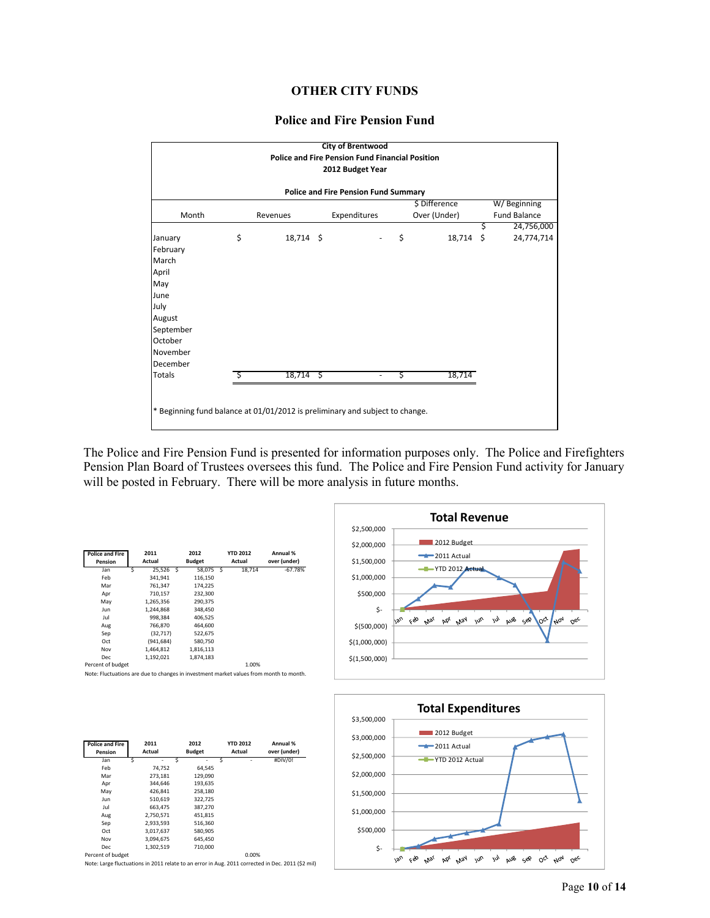# **OTHER CITY FUNDS**

#### **Police and Fire Pension Fund**



The Police and Fire Pension Fund is presented for information purposes only. The Police and Firefighters Pension Plan Board of Trustees oversees this fund. The Police and Fire Pension Fund activity for January will be posted in February. There will be more analysis in future months.

| 2011<br>Actual | 2012<br><b>Budget</b> | <b>YTD 2012</b><br>Actual | Annual %<br>over (under) |         |
|----------------|-----------------------|---------------------------|--------------------------|---------|
| 25,526         | 58,075                | 18,714                    | -67.78%                  |         |
| 341.941        | 116.150               |                           |                          |         |
| 761,347        | 174,225               |                           |                          |         |
| 710,157        | 232,300               |                           |                          |         |
| 1,265,356      | 290.375               |                           |                          |         |
| 1,244,868      | 348,450               |                           |                          |         |
| 998,384        | 406.525               |                           |                          |         |
| 766,870        | 464,600               |                           |                          |         |
| (32, 717)      | 522,675               |                           |                          |         |
| (941, 684)     | 580,750               |                           |                          | \$(1,0) |
| 1,464,812      | 1,816,113             |                           |                          |         |
| 1,192,021      | 1,874,183             |                           |                          | \$(1,5) |
|                | - S                   | -S                        |                          |         |





| <b>Police and Fire</b><br>Pension | 2011<br>Actual | 2012<br><b>Budget</b> | <b>YTD 2012</b><br>Actual | Annual %<br>over (under) |
|-----------------------------------|----------------|-----------------------|---------------------------|--------------------------|
| Jan                               | s<br>٠         | s<br>۰                | S<br>۰                    | #DIV/0!                  |
| Feb                               | 74,752         | 64,545                |                           |                          |
| Mar                               | 273,181        | 129,090               |                           |                          |
| Apr                               | 344.646        | 193.635               |                           |                          |
| May                               | 426.841        | 258,180               |                           |                          |
| Jun                               | 510.619        | 322,725               |                           |                          |
| Jul                               | 663.475        | 387.270               |                           |                          |
| Aug                               | 2,750,571      | 451,815               |                           |                          |
| Sep                               | 2,933,593      | 516,360               |                           |                          |
| Oct                               | 3,017,637      | 580,905               |                           |                          |
| Nov                               | 3.094.675      | 645,450               |                           |                          |
| Dec                               | 1.302.519      | 710.000               |                           |                          |

Percent of budget 0.00%

Note: Large fluctuations in 2011 relate to an error in Aug. 2011 corrected in Dec. 2011 (\$2 mil)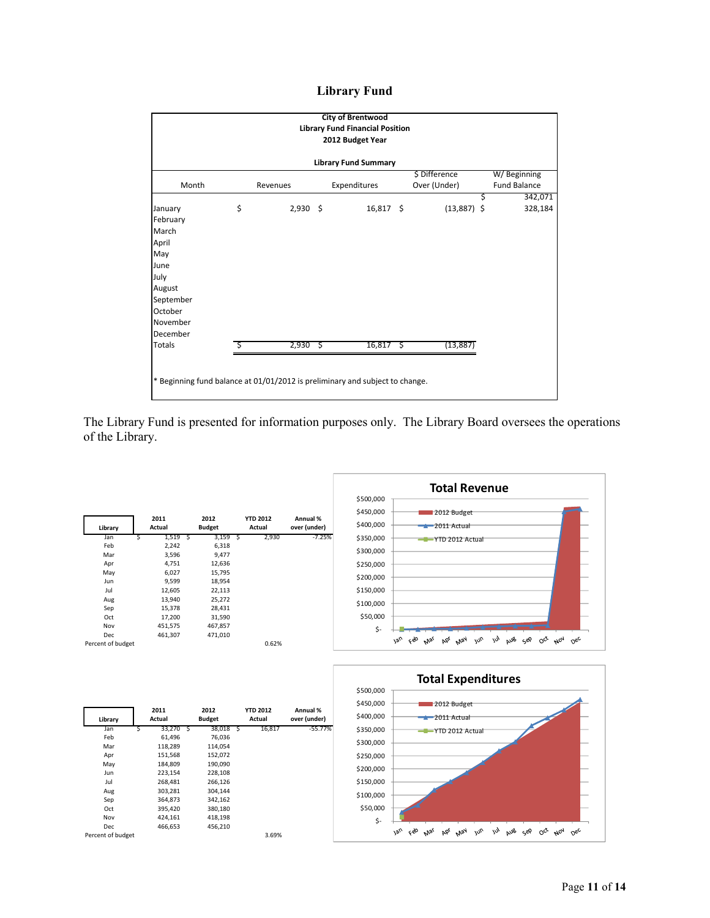# **Library Fund**

|                                                                                                                        | <b>City of Brentwood</b><br><b>Library Fund Financial Position</b><br>2012 Budget Year |            |  |              |  |                               |    |                                    |  |  |  |  |
|------------------------------------------------------------------------------------------------------------------------|----------------------------------------------------------------------------------------|------------|--|--------------|--|-------------------------------|----|------------------------------------|--|--|--|--|
| <b>Library Fund Summary</b>                                                                                            |                                                                                        |            |  |              |  |                               |    |                                    |  |  |  |  |
| Month                                                                                                                  |                                                                                        | Revenues   |  | Expenditures |  | \$ Difference<br>Over (Under) |    | W/Beginning<br><b>Fund Balance</b> |  |  |  |  |
| January<br>February<br>March<br>April<br>May<br>June<br>July<br>August<br>September<br>October<br>November<br>December | \$                                                                                     | $2,930$ \$ |  | $16,817$ \$  |  | $(13,887)$ \$                 | \$ | 342,071<br>328,184                 |  |  |  |  |
| <b>Totals</b>                                                                                                          |                                                                                        | $2,930$ \$ |  | $16,817$ \$  |  | (13, 887)                     |    |                                    |  |  |  |  |
|                                                                                                                        | * Beginning fund balance at 01/01/2012 is preliminary and subject to change.           |            |  |              |  |                               |    |                                    |  |  |  |  |

The Library Fund is presented for information purposes only. The Library Board oversees the operations of the Library.

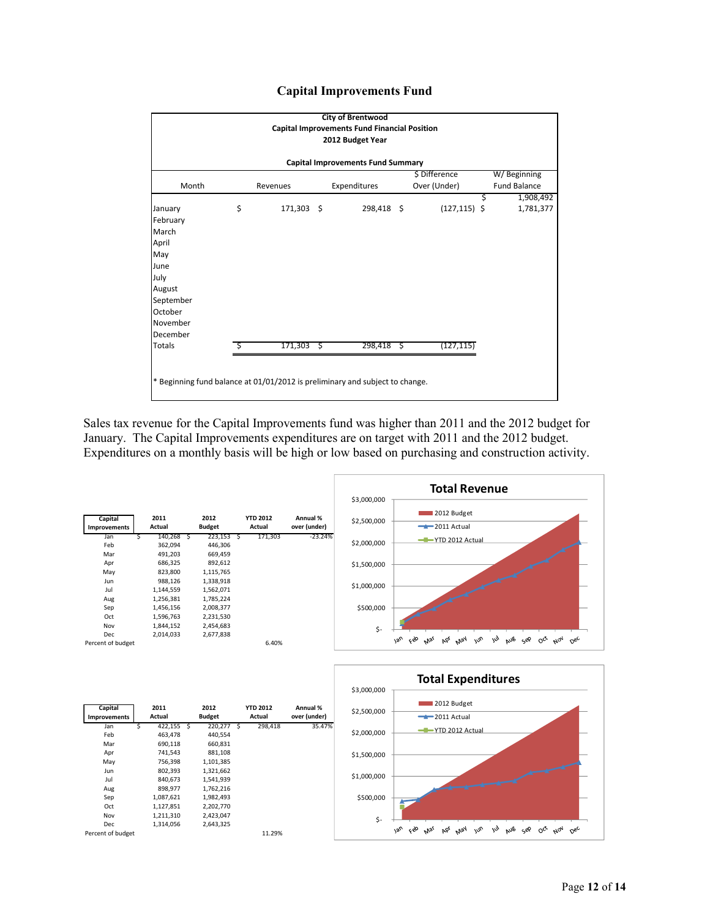# **Capital Improvements Fund**



Sales tax revenue for the Capital Improvements fund was higher than 2011 and the 2012 budget for January. The Capital Improvements expenditures are on target with 2011 and the 2012 budget. Expenditures on a monthly basis will be high or low based on purchasing and construction activity.

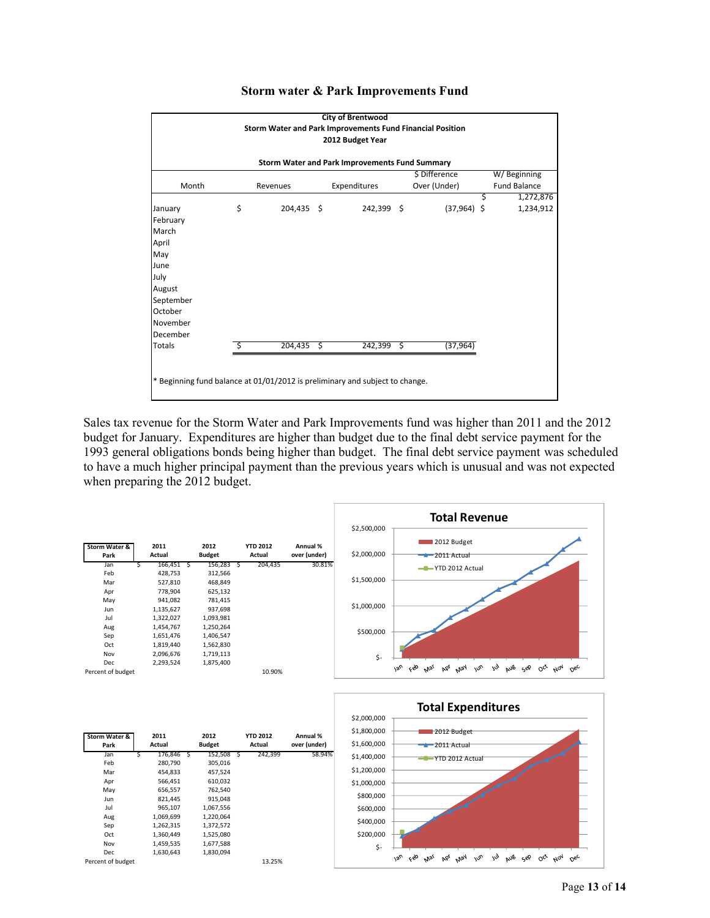

#### **Storm water & Park Improvements Fund**

Sales tax revenue for the Storm Water and Park Improvements fund was higher than 2011 and the 2012 budget for January. Expenditures are higher than budget due to the final debt service payment for the 1993 general obligations bonds being higher than budget. The final debt service payment was scheduled to have a much higher principal payment than the previous years which is unusual and was not expected when preparing the 2012 budget.

|                       |                |   |                       |                           |                          | \$2,500,000 | <b>Total Revenue</b>                                                                         |
|-----------------------|----------------|---|-----------------------|---------------------------|--------------------------|-------------|----------------------------------------------------------------------------------------------|
| Storm Water &<br>Park | 2011<br>Actual |   | 2012<br><b>Budget</b> | <b>YTD 2012</b><br>Actual | Annual %<br>over (under) | \$2,000,000 | 2012 Budget<br>$\rightarrow$ 2011 Actual                                                     |
| Jan                   | 166,451        | ь | 156,283               | 204,435                   | 30.81%                   |             | -T-YTD 2012 Actual                                                                           |
| Feb                   | 428,753        |   | 312,566               |                           |                          |             |                                                                                              |
| Mar                   | 527,810        |   | 468,849               |                           |                          | \$1,500,000 |                                                                                              |
| Apr                   | 778,904        |   | 625,132               |                           |                          |             |                                                                                              |
| May                   | 941,082        |   | 781,415               |                           |                          |             |                                                                                              |
| Jun                   | 1,135,627      |   | 937,698               |                           |                          | \$1,000,000 |                                                                                              |
| Jul                   | 1,322,027      |   | 1,093,981             |                           |                          |             |                                                                                              |
| Aug                   | 1,454,767      |   | 1,250,264             |                           |                          |             |                                                                                              |
| Sep                   | 1,651,476      |   | 1,406,547             |                           |                          | \$500,000   |                                                                                              |
| Oct                   | 1,819,440      |   | 1,562,830             |                           |                          |             |                                                                                              |
| Nov                   | 2,096,676      |   | 1,719,113             |                           |                          |             |                                                                                              |
| Dec                   | 2,293,524      |   | 1,875,400             |                           |                          | \$-         |                                                                                              |
| Percent of budget     |                |   |                       | 10.90%                    |                          |             | $v_{\text{av}}$<br>Feb<br>AUB SOP OCT NOT DEC<br>m<br>Apr Way<br>w <sub>U</sub><br>$M_{S_1}$ |



| <b>Storm Water &amp;</b> |   | 2011      |   | 2012          |   | <b>YTD 2012</b> | Annual %     |
|--------------------------|---|-----------|---|---------------|---|-----------------|--------------|
| Park                     |   | Actual    |   | <b>Budget</b> |   | Actual          | over (under) |
| Jan                      | Ś | 176,846   | S | 152,508       | Ś | 242,399         | 58.94%       |
| Feb                      |   | 280,790   |   | 305.016       |   |                 |              |
| Mar                      |   | 454,833   |   | 457,524       |   |                 |              |
| Apr                      |   | 566,451   |   | 610,032       |   |                 |              |
| May                      |   | 656,557   |   | 762,540       |   |                 |              |
| Jun                      |   | 821,445   |   | 915,048       |   |                 |              |
| Jul                      |   | 965,107   |   | 1,067,556     |   |                 |              |
| Aug                      |   | 1,069,699 |   | 1,220,064     |   |                 |              |
| Sep                      |   | 1,262,315 |   | 1,372,572     |   |                 |              |
| Oct                      |   | 1,360,449 |   | 1,525,080     |   |                 |              |
| Nov                      |   | 1,459,535 |   | 1,677,588     |   |                 |              |
| <b>Dec</b>               |   | 1,630,643 |   | 1,830,094     |   |                 |              |
| Percent of budget        |   |           |   |               |   | 13.25%          |              |